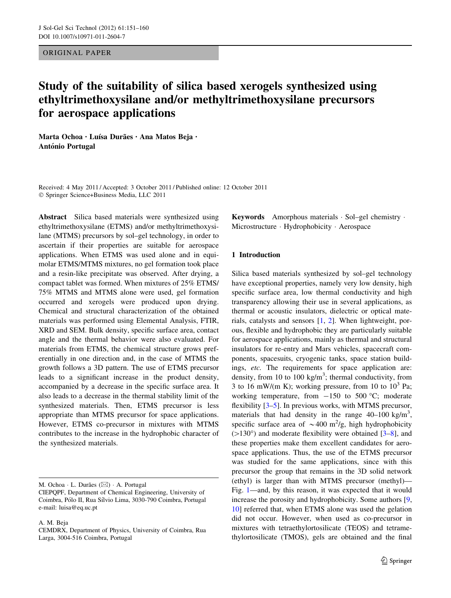ORIGINAL PAPER

# Study of the suitability of silica based xerogels synthesized using ethyltrimethoxysilane and/or methyltrimethoxysilane precursors for aerospace applications

Marta Ochoa · Luísa Durães · Ana Matos Beja · António Portugal

Received: 4 May 2011 / Accepted: 3 October 2011 / Published online: 12 October 2011 - Springer Science+Business Media, LLC 2011

Abstract Silica based materials were synthesized using ethyltrimethoxysilane (ETMS) and/or methyltrimethoxysilane (MTMS) precursors by sol–gel technology, in order to ascertain if their properties are suitable for aerospace applications. When ETMS was used alone and in equimolar ETMS/MTMS mixtures, no gel formation took place and a resin-like precipitate was observed. After drying, a compact tablet was formed. When mixtures of 25% ETMS/ 75% MTMS and MTMS alone were used, gel formation occurred and xerogels were produced upon drying. Chemical and structural characterization of the obtained materials was performed using Elemental Analysis, FTIR, XRD and SEM. Bulk density, specific surface area, contact angle and the thermal behavior were also evaluated. For materials from ETMS, the chemical structure grows preferentially in one direction and, in the case of MTMS the growth follows a 3D pattern. The use of ETMS precursor leads to a significant increase in the product density, accompanied by a decrease in the specific surface area. It also leads to a decrease in the thermal stability limit of the synthesized materials. Then, ETMS precursor is less appropriate than MTMS precursor for space applications. However, ETMS co-precursor in mixtures with MTMS contributes to the increase in the hydrophobic character of the synthesized materials.

M. Ochoa  $\cdot$  L. Durães ( $\boxtimes$ )  $\cdot$  A. Portugal

A. M. Beja

Keywords Amorphous materials - Sol–gel chemistry - Microstructure - Hydrophobicity - Aerospace

# 1 Introduction

Silica based materials synthesized by sol–gel technology have exceptional properties, namely very low density, high specific surface area, low thermal conductivity and high transparency allowing their use in several applications, as thermal or acoustic insulators, dielectric or optical materials, catalysts and sensors [\[1](#page-9-0), [2\]](#page-9-0). When lightweight, porous, flexible and hydrophobic they are particularly suitable for aerospace applications, mainly as thermal and structural insulators for re-entry and Mars vehicles, spacecraft components, spacesuits, cryogenic tanks, space station buildings, etc. The requirements for space application are: density, from 10 to 100 kg/m<sup>3</sup>; thermal conductivity, from 3 to 16 mW/(m K); working pressure, from 10 to  $10^3$  Pa; working temperature, from  $-150$  to 500 °C; moderate flexibility [\[3–5](#page-9-0)]. In previous works, with MTMS precursor, materials that had density in the range  $40-100$  kg/m<sup>3</sup>, specific surface area of  $\sim$  400 m<sup>2</sup>/g, high hydrophobicity  $(>130^{\circ})$  and moderate flexibility were obtained [[3–8\]](#page-9-0), and these properties make them excellent candidates for aerospace applications. Thus, the use of the ETMS precursor was studied for the same applications, since with this precursor the group that remains in the 3D solid network (ethyl) is larger than with MTMS precursor (methyl)— Fig. [1](#page-1-0)—and, by this reason, it was expected that it would increase the porosity and hydrophobicity. Some authors [[9,](#page-9-0) [10](#page-9-0)] referred that, when ETMS alone was used the gelation did not occur. However, when used as co-precursor in mixtures with tetraethylortosilicate (TEOS) and tetramethylortosilicate (TMOS), gels are obtained and the final

CIEPQPF, Department of Chemical Engineering, University of Coimbra, Pólo II, Rua Sílvio Lima, 3030-790 Coimbra, Portugal e-mail: luisa@eq.uc.pt

CEMDRX, Department of Physics, University of Coimbra, Rua Larga, 3004-516 Coimbra, Portugal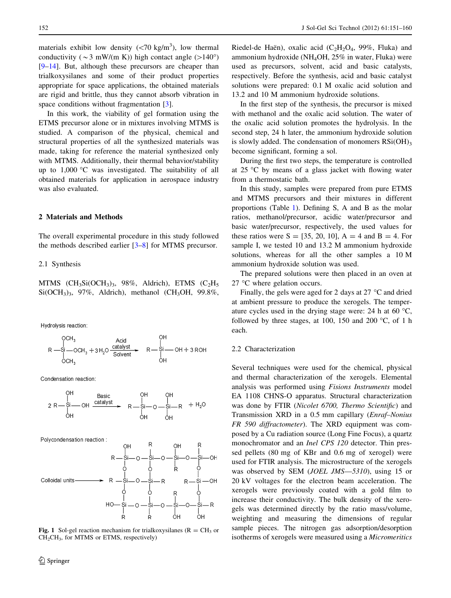<span id="page-1-0"></span>materials exhibit low density  $(< 70 \text{ kg/m}^3)$ , low thermal conductivity ( $\sim$ 3 mW/(m K)) high contact angle ( $>$ 140°) [\[9–14](#page-9-0)]. But, although these precursors are cheaper than trialkoxysilanes and some of their product properties appropriate for space applications, the obtained materials are rigid and brittle, thus they cannot absorb vibration in space conditions without fragmentation [\[3](#page-9-0)].

In this work, the viability of gel formation using the ETMS precursor alone or in mixtures involving MTMS is studied. A comparison of the physical, chemical and structural properties of all the synthesized materials was made, taking for reference the material synthesized only with MTMS. Additionally, their thermal behavior/stability up to  $1,000$  °C was investigated. The suitability of all obtained materials for application in aerospace industry was also evaluated.

#### 2 Materials and Methods

The overall experimental procedure in this study followed the methods described earlier [[3–8\]](#page-9-0) for MTMS precursor.

# 2.1 Synthesis

MTMS  $(CH_3Si(OCH_3)_3, 98\%,$  Aldrich), ETMS  $(C_2H_5)$ Si(OCH<sub>3</sub>)<sub>3</sub>, 97%, Aldrich), methanol (CH<sub>3</sub>OH, 99.8%,

Hydrolysis reaction:



Condensation reaction:



Polycondensation reaction :



Fig. 1 Sol-gel reaction mechanism for trialkoxysilanes ( $R = CH_3$  or CH2CH3, for MTMS or ETMS, respectively)

Riedel-de Haën), oxalic acid  $(C_2H_2O_4, 99\%$ , Fluka) and ammonium hydroxide (NH4OH, 25% in water, Fluka) were used as precursors, solvent, acid and basic catalysts, respectively. Before the synthesis, acid and basic catalyst solutions were prepared: 0.1 M oxalic acid solution and 13.2 and 10 M ammonium hydroxide solutions.

In the first step of the synthesis, the precursor is mixed with methanol and the oxalic acid solution. The water of the oxalic acid solution promotes the hydrolysis. In the second step, 24 h later, the ammonium hydroxide solution is slowly added. The condensation of monomers  $RSi(OH)3$ become significant, forming a sol.

During the first two steps, the temperature is controlled at  $25 \text{ °C}$  by means of a glass jacket with flowing water from a thermostatic bath.

In this study, samples were prepared from pure ETMS and MTMS precursors and their mixtures in different proportions (Table [1\)](#page-2-0). Defining S, A and B as the molar ratios, methanol/precursor, acidic water/precursor and basic water/precursor, respectively, the used values for these ratios were  $S = [35, 20, 10]$ ,  $A = 4$  and  $B = 4$ . For sample I, we tested 10 and 13.2 M ammonium hydroxide solutions, whereas for all the other samples a 10 M ammonium hydroxide solution was used.

The prepared solutions were then placed in an oven at  $27^{\circ}$ C where gelation occurs.

Finally, the gels were aged for 2 days at  $27^{\circ}$ C and dried at ambient pressure to produce the xerogels. The temperature cycles used in the drying stage were: 24 h at 60  $^{\circ}$ C, followed by three stages, at 100, 150 and 200  $\degree$ C, of 1 h each.

#### 2.2 Characterization

Several techniques were used for the chemical, physical and thermal characterization of the xerogels. Elemental analysis was performed using Fisions Instruments model EA 1108 CHNS-O apparatus. Structural characterization was done by FTIR (Nicolet 6700, Thermo Scientific) and Transmission XRD in a 0.5 mm capillary (Enraf–Nonius FR 590 diffractometer). The XRD equipment was composed by a Cu radiation source (Long Fine Focus), a quartz monochromator and an Inel CPS 120 detector. Thin pressed pellets (80 mg of KBr and 0.6 mg of xerogel) were used for FTIR analysis. The microstructure of the xerogels was observed by SEM (*JOEL JMS*—5310), using 15 or 20 kV voltages for the electron beam acceleration. The xerogels were previously coated with a gold film to increase their conductivity. The bulk density of the xerogels was determined directly by the ratio mass/volume, weighting and measuring the dimensions of regular sample pieces. The nitrogen gas adsorption/desorption isotherms of xerogels were measured using a Micromeritics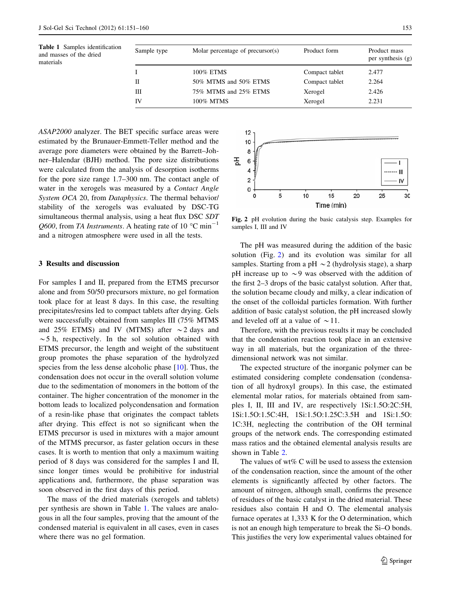<span id="page-2-0"></span>Table 1 Samples identification and masses of the dried materials

| Sample type | Molar percentage of precursor(s) | Product form   | Product mass<br>per synthesis $(g)$ |
|-------------|----------------------------------|----------------|-------------------------------------|
|             | 100% ETMS                        | Compact tablet | 2.477                               |
|             | 50% MTMS and 50% ETMS            | Compact tablet | 2.264                               |
| Ш           | 75% MTMS and 25% ETMS            | Xerogel        | 2.426                               |
| IV          | 100% MTMS                        | Xerogel        | 2.231                               |

ASAP2000 analyzer. The BET specific surface areas were estimated by the Brunauer-Emmett-Teller method and the average pore diameters were obtained by the Barrett–Johner–Halendar (BJH) method. The pore size distributions were calculated from the analysis of desorption isotherms for the pore size range 1.7–300 nm. The contact angle of water in the xerogels was measured by a Contact Angle System OCA 20, from Dataphysics. The thermal behavior/ stability of the xerogels was evaluated by DSC-TG simultaneous thermal analysis, using a heat flux DSC SDT Q600, from TA Instruments. A heating rate of 10  $^{\circ}$ C min<sup>-1</sup> and a nitrogen atmosphere were used in all the tests.

## 3 Results and discussion

For samples I and II, prepared from the ETMS precursor alone and from 50/50 precursors mixture, no gel formation took place for at least 8 days. In this case, the resulting precipitates/resins led to compact tablets after drying. Gels were successfully obtained from samples III (75% MTMS and 25% ETMS) and IV (MTMS) after  $\sim$  2 days and  $\sim$  5 h, respectively. In the sol solution obtained with ETMS precursor, the length and weight of the substituent group promotes the phase separation of the hydrolyzed species from the less dense alcoholic phase [[10\]](#page-9-0). Thus, the condensation does not occur in the overall solution volume due to the sedimentation of monomers in the bottom of the container. The higher concentration of the monomer in the bottom leads to localized polycondensation and formation of a resin-like phase that originates the compact tablets after drying. This effect is not so significant when the ETMS precursor is used in mixtures with a major amount of the MTMS precursor, as faster gelation occurs in these cases. It is worth to mention that only a maximum waiting period of 8 days was considered for the samples I and II, since longer times would be prohibitive for industrial applications and, furthermore, the phase separation was soon observed in the first days of this period.

The mass of the dried materials (xerogels and tablets) per synthesis are shown in Table 1. The values are analogous in all the four samples, proving that the amount of the condensed material is equivalent in all cases, even in cases where there was no gel formation.



Fig. 2 pH evolution during the basic catalysis step. Examples for samples I, III and IV

The pH was measured during the addition of the basic solution (Fig. 2) and its evolution was similar for all samples. Starting from a pH  $\sim$  2 (hydrolysis stage), a sharp pH increase up to  $\sim$ 9 was observed with the addition of the first 2–3 drops of the basic catalyst solution. After that, the solution became cloudy and milky, a clear indication of the onset of the colloidal particles formation. With further addition of basic catalyst solution, the pH increased slowly and leveled off at a value of  $\sim$ 11.

Therefore, with the previous results it may be concluded that the condensation reaction took place in an extensive way in all materials, but the organization of the threedimensional network was not similar.

The expected structure of the inorganic polymer can be estimated considering complete condensation (condensation of all hydroxyl groups). In this case, the estimated elemental molar ratios, for materials obtained from samples I, II, III and IV, are respectively 1Si:1.5O:2C:5H, 1Si:1.5O:1.5C:4H, 1Si:1.5O:1.25C:3.5H and 1Si:1.5O: 1C:3H, neglecting the contribution of the OH terminal groups of the network ends. The corresponding estimated mass ratios and the obtained elemental analysis results are shown in Table [2](#page-3-0).

The values of wt% C will be used to assess the extension of the condensation reaction, since the amount of the other elements is significantly affected by other factors. The amount of nitrogen, although small, confirms the presence of residues of the basic catalyst in the dried material. These residues also contain H and O. The elemental analysis furnace operates at 1,333 K for the O determination, which is not an enough high temperature to break the Si–O bonds. This justifies the very low experimental values obtained for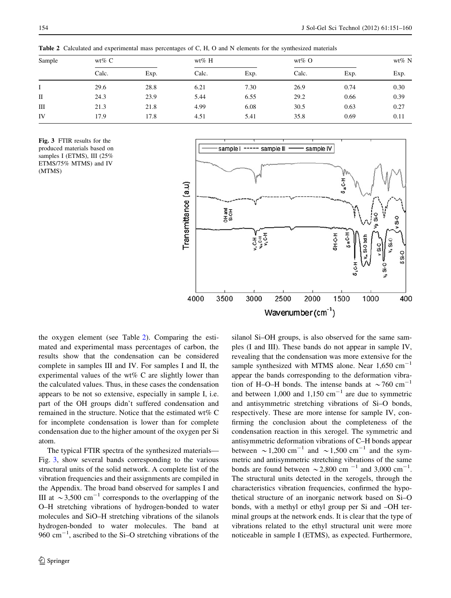| Sample    | wt% $C$ |      |       | wt% $H$ |       | wt% $\sigma$ |      |
|-----------|---------|------|-------|---------|-------|--------------|------|
|           | Calc.   | Exp. | Calc. | Exp.    | Calc. | Exp.         | Exp. |
|           | 29.6    | 28.8 | 6.21  | 7.30    | 26.9  | 0.74         | 0.30 |
| $\rm{II}$ | 24.3    | 23.9 | 5.44  | 6.55    | 29.2  | 0.66         | 0.39 |
| Ш         | 21.3    | 21.8 | 4.99  | 6.08    | 30.5  | 0.63         | 0.27 |
| IV        | 17.9    | 17.8 | 4.51  | 5.41    | 35.8  | 0.69         | 0.11 |

<span id="page-3-0"></span>Table 2 Calculated and experimental mass percentages of C, H, O and N elements for the synthesized materials

Fig. 3 FTIR results for the produced materials based on samples I (ETMS), III (25% ETMS/75% MTMS) and IV (MTMS)



the oxygen element (see Table 2). Comparing the estimated and experimental mass percentages of carbon, the results show that the condensation can be considered complete in samples III and IV. For samples I and II, the experimental values of the wt% C are slightly lower than the calculated values. Thus, in these cases the condensation appears to be not so extensive, especially in sample I, i.e. part of the OH groups didn't suffered condensation and remained in the structure. Notice that the estimated wt% C for incomplete condensation is lower than for complete condensation due to the higher amount of the oxygen per Si atom.

The typical FTIR spectra of the synthesized materials— Fig. 3, show several bands corresponding to the various structural units of the solid network. A complete list of the vibration frequencies and their assignments are compiled in the Appendix. The broad band observed for samples I and III at  $\sim$  3,500 cm<sup>-1</sup> corresponds to the overlapping of the O–H stretching vibrations of hydrogen-bonded to water molecules and SiO–H stretching vibrations of the silanols hydrogen-bonded to water molecules. The band at 960  $\text{cm}^{-1}$ , ascribed to the Si–O stretching vibrations of the

silanol Si–OH groups, is also observed for the same samples (I and III). These bands do not appear in sample IV, revealing that the condensation was more extensive for the sample synthesized with MTMS alone. Near  $1,650$  cm<sup>-1</sup> appear the bands corresponding to the deformation vibration of H–O–H bonds. The intense bands at  $\sim$  760 cm<sup>-1</sup> and between 1,000 and 1,150  $cm^{-1}$  are due to symmetric and antisymmetric stretching vibrations of Si–O bonds, respectively. These are more intense for sample IV, confirming the conclusion about the completeness of the condensation reaction in this xerogel. The symmetric and antisymmetric deformation vibrations of C–H bonds appear between  $\sim$  1,200 cm<sup>-1</sup> and  $\sim$  1,500 cm<sup>-1</sup> and the symmetric and antisymmetric stretching vibrations of the same bonds are found between  $\sim$  2,800 cm  $^{-1}$  and 3,000 cm<sup>-1</sup>. The structural units detected in the xerogels, through the characteristics vibration frequencies, confirmed the hypothetical structure of an inorganic network based on Si–O bonds, with a methyl or ethyl group per Si and –OH terminal groups at the network ends. It is clear that the type of vibrations related to the ethyl structural unit were more noticeable in sample I (ETMS), as expected. Furthermore,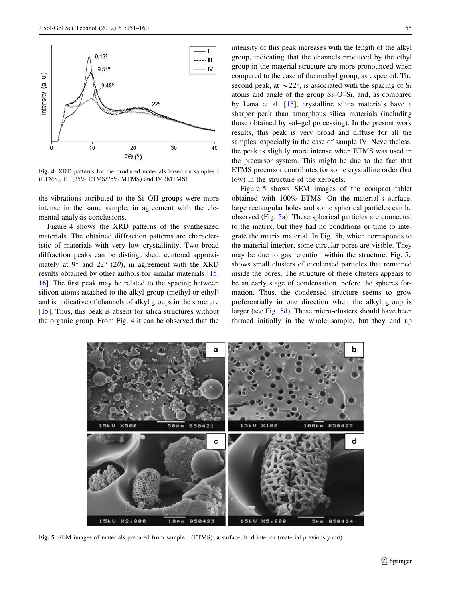

Fig. 4 XRD patterns for the produced materials based on samples I (ETMS), III (25% ETMS/75% MTMS) and IV (MTMS)

the vibrations attributed to the Si–OH groups were more intense in the same sample, in agreement with the elemental analysis conclusions.

Figure 4 shows the XRD patterns of the synthesized materials. The obtained diffraction patterns are characteristic of materials with very low crystallinity. Two broad diffraction peaks can be distinguished, centered approximately at 9° and 22° (2 $\theta$ ), in agreement with the XRD results obtained by other authors for similar materials [[15,](#page-9-0) [16](#page-9-0)]. The first peak may be related to the spacing between silicon atoms attached to the alkyl group (methyl or ethyl) and is indicative of channels of alkyl groups in the structure  $[15]$  $[15]$ . Thus, this peak is absent for silica structures without the organic group. From Fig. 4 it can be observed that the intensity of this peak increases with the length of the alkyl group, indicating that the channels produced by the ethyl group in the material structure are more pronounced when compared to the case of the methyl group, as expected. The second peak, at  $\sim$  22°, is associated with the spacing of Si atoms and angle of the group Si–O–Si, and, as compared by Lana et al. [\[15](#page-9-0)], crystalline silica materials have a sharper peak than amorphous silica materials (including those obtained by sol–gel processing). In the present work results, this peak is very broad and diffuse for all the samples, especially in the case of sample IV. Nevertheless, the peak is slightly more intense when ETMS was used in the precursor system. This might be due to the fact that ETMS precursor contributes for some crystalline order (but low) in the structure of the xerogels.

Figure 5 shows SEM images of the compact tablet obtained with 100% ETMS. On the material's surface, large rectangular holes and some spherical particles can be observed (Fig. 5a). These spherical particles are connected to the matrix, but they had no conditions or time to integrate the matrix material. In Fig. 5b, which corresponds to the material interior, some circular pores are visible. They may be due to gas retention within the structure. Fig. 5c shows small clusters of condensed particles that remained inside the pores. The structure of these clusters appears to be an early stage of condensation, before the spheres formation. Thus, the condensed structure seems to grow preferentially in one direction when the alkyl group is larger (see Fig. 5d). These micro-clusters should have been formed initially in the whole sample, but they end up



Fig. 5 SEM images of materials prepared from sample I (ETMS): a surface, b–d interior (material previously cut)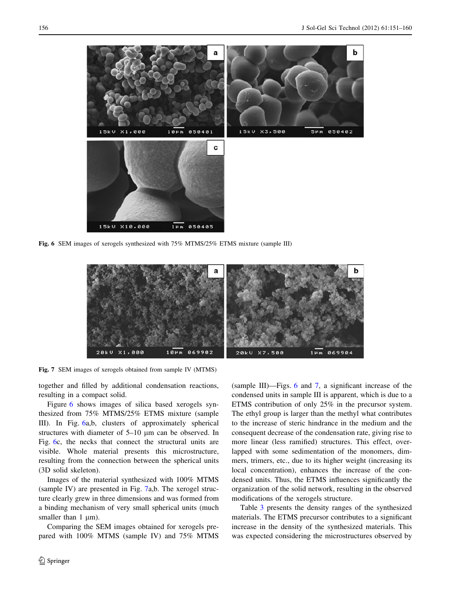

Fig. 6 SEM images of xerogels synthesized with 75% MTMS/25% ETMS mixture (sample III)



Fig. 7 SEM images of xerogels obtained from sample IV (MTMS)

together and filled by additional condensation reactions, resulting in a compact solid.

Figure 6 shows images of silica based xerogels synthesized from 75% MTMS/25% ETMS mixture (sample III). In Fig. 6a,b, clusters of approximately spherical structures with diameter of  $5-10 \mu m$  can be observed. In Fig. 6c, the necks that connect the structural units are visible. Whole material presents this microstructure, resulting from the connection between the spherical units (3D solid skeleton).

Images of the material synthesized with 100% MTMS (sample IV) are presented in Fig. 7a,b. The xerogel structure clearly grew in three dimensions and was formed from a binding mechanism of very small spherical units (much smaller than  $1 \mu m$ ).

Comparing the SEM images obtained for xerogels prepared with 100% MTMS (sample IV) and 75% MTMS (sample III)—Figs. 6 and 7, a significant increase of the condensed units in sample III is apparent, which is due to a ETMS contribution of only 25% in the precursor system. The ethyl group is larger than the methyl what contributes to the increase of steric hindrance in the medium and the consequent decrease of the condensation rate, giving rise to more linear (less ramified) structures. This effect, overlapped with some sedimentation of the monomers, dimmers, trimers, etc., due to its higher weight (increasing its local concentration), enhances the increase of the condensed units. Thus, the ETMS influences significantly the organization of the solid network, resulting in the observed modifications of the xerogels structure.

Table [3](#page-6-0) presents the density ranges of the synthesized materials. The ETMS precursor contributes to a significant increase in the density of the synthesized materials. This was expected considering the microstructures observed by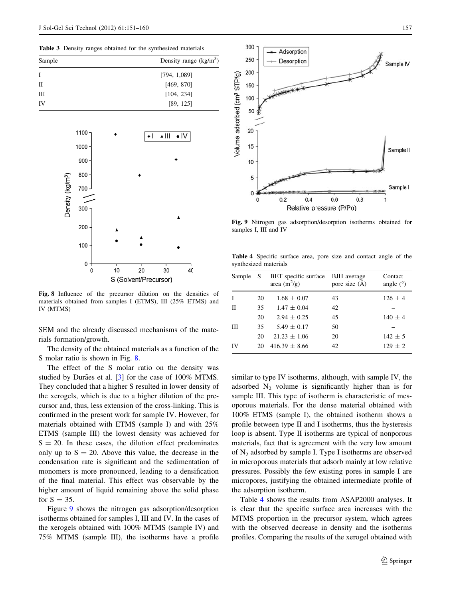<span id="page-6-0"></span>Table 3 Density ranges obtained for the synthesized materials

| Sample | Density range $(kg/m3)$ |
|--------|-------------------------|
|        | [794, 1,089]            |
| П      | [469, 870]              |
| Ш      | [104, 234]              |
| IV     | [89, 125]               |



Fig. 8 Influence of the precursor dilution on the densities of materials obtained from samples I (ETMS), III (25% ETMS) and IV (MTMS)

SEM and the already discussed mechanisms of the materials formation/growth.

The density of the obtained materials as a function of the S molar ratio is shown in Fig. 8.

The effect of the S molar ratio on the density was studied by Durães et al. [[3\]](#page-9-0) for the case of 100% MTMS. They concluded that a higher S resulted in lower density of the xerogels, which is due to a higher dilution of the precursor and, thus, less extension of the cross-linking. This is confirmed in the present work for sample IV. However, for materials obtained with ETMS (sample I) and with 25% ETMS (sample III) the lowest density was achieved for  $S = 20$ . In these cases, the dilution effect predominates only up to  $S = 20$ . Above this value, the decrease in the condensation rate is significant and the sedimentation of monomers is more pronounced, leading to a densification of the final material. This effect was observable by the higher amount of liquid remaining above the solid phase for  $S = 35$ .

Figure 9 shows the nitrogen gas adsorption/desorption isotherms obtained for samples I, III and IV. In the cases of the xerogels obtained with 100% MTMS (sample IV) and 75% MTMS (sample III), the isotherms have a profile



Fig. 9 Nitrogen gas adsorption/desorption isotherms obtained for samples I, III and IV

Table 4 Specific surface area, pore size and contact angle of the synthesized materials

| Sample | -S | BET specific surface BJH average<br>area $(m^2/g)$ | pore size $(A)$ | Contact<br>angle $(°)$ |
|--------|----|----------------------------------------------------|-----------------|------------------------|
|        | 20 | $1.68 \pm 0.07$                                    | 43              | $126 \pm 4$            |
| Н      | 35 | $1.47 \pm 0.04$                                    | 42              |                        |
|        | 20 | $2.94 \pm 0.25$                                    | 45              | $140 \pm 4$            |
| Ш      | 35 | $5.49 \pm 0.17$                                    | 50              |                        |
|        | 20 | $21.23 \pm 1.06$                                   | 20              | $142 \pm 5$            |
| IV     | 20 | $416.39 \pm 8.66$                                  | 42              | $129 \pm 2$            |

similar to type IV isotherms, although, with sample IV, the adsorbed  $N_2$  volume is significantly higher than is for sample III. This type of isotherm is characteristic of mesoporous materials. For the dense material obtained with 100% ETMS (sample I), the obtained isotherm shows a profile between type II and I isotherms, thus the hysteresis loop is absent. Type II isotherms are typical of nonporous materials, fact that is agreement with the very low amount of  $N_2$  adsorbed by sample I. Type I isotherms are observed in microporous materials that adsorb mainly at low relative pressures. Possibly the few existing pores in sample I are micropores, justifying the obtained intermediate profile of the adsorption isotherm.

Table 4 shows the results from ASAP2000 analyses. It is clear that the specific surface area increases with the MTMS proportion in the precursor system, which agrees with the observed decrease in density and the isotherms profiles. Comparing the results of the xerogel obtained with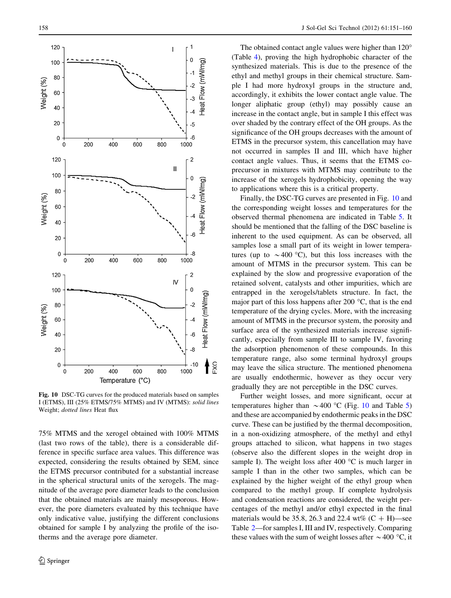

Fig. 10 DSC-TG curves for the produced materials based on samples I (ETMS), III (25% ETMS/75% MTMS) and IV (MTMS): solid lines Weight; *dotted lines* Heat flux

75% MTMS and the xerogel obtained with 100% MTMS (last two rows of the table), there is a considerable difference in specific surface area values. This difference was expected, considering the results obtained by SEM, since the ETMS precursor contributed for a substantial increase in the spherical structural units of the xerogels. The magnitude of the average pore diameter leads to the conclusion that the obtained materials are mainly mesoporous. However, the pore diameters evaluated by this technique have only indicative value, justifying the different conclusions obtained for sample I by analyzing the profile of the isotherms and the average pore diameter.

The obtained contact angle values were higher than 120<sup>°</sup> (Table [4\)](#page-6-0), proving the high hydrophobic character of the synthesized materials. This is due to the presence of the ethyl and methyl groups in their chemical structure. Sample I had more hydroxyl groups in the structure and, accordingly, it exhibits the lower contact angle value. The longer aliphatic group (ethyl) may possibly cause an increase in the contact angle, but in sample I this effect was over shaded by the contrary effect of the OH groups. As the significance of the OH groups decreases with the amount of ETMS in the precursor system, this cancellation may have not occurred in samples II and III, which have higher contact angle values. Thus, it seems that the ETMS coprecursor in mixtures with MTMS may contribute to the increase of the xerogels hydrophobicity, opening the way to applications where this is a critical property.

Finally, the DSC-TG curves are presented in Fig. 10 and the corresponding weight losses and temperatures for the observed thermal phenomena are indicated in Table [5.](#page-8-0) It should be mentioned that the falling of the DSC baseline is inherent to the used equipment. As can be observed, all samples lose a small part of its weight in lower temperatures (up to  $\sim$  400 °C), but this loss increases with the amount of MTMS in the precursor system. This can be explained by the slow and progressive evaporation of the retained solvent, catalysts and other impurities, which are entrapped in the xerogels/tablets structure. In fact, the major part of this loss happens after 200  $\degree$ C, that is the end temperature of the drying cycles. More, with the increasing amount of MTMS in the precursor system, the porosity and surface area of the synthesized materials increase significantly, especially from sample III to sample IV, favoring the adsorption phenomenon of these compounds. In this temperature range, also some terminal hydroxyl groups may leave the silica structure. The mentioned phenomena are usually endothermic, however as they occur very gradually they are not perceptible in the DSC curves.

Further weight losses, and more significant, occur at temperatures higher than  $\sim$  400 °C (Fig. 10 and Table [5\)](#page-8-0) and these are accompanied by endothermic peaks in the DSC curve. These can be justified by the thermal decomposition, in a non-oxidizing atmosphere, of the methyl and ethyl groups attached to silicon, what happens in two stages (observe also the different slopes in the weight drop in sample I). The weight loss after 400  $\degree$ C is much larger in sample I than in the other two samples, which can be explained by the higher weight of the ethyl group when compared to the methyl group. If complete hydrolysis and condensation reactions are considered, the weight percentages of the methyl and/or ethyl expected in the final materials would be 35.8, 26.3 and 22.4 wt%  $(C + H)$ —see Table [2](#page-3-0)—for samples I, III and IV, respectively. Comparing these values with the sum of weight losses after  $\sim$  400 °C, it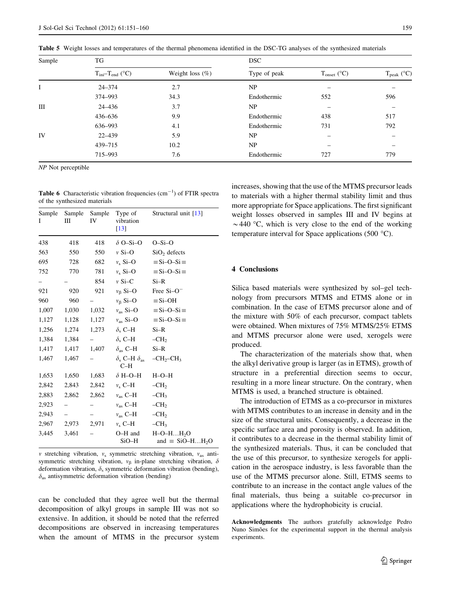| Sample | TG                                     |                    | <b>DSC</b>   |                  |                 |  |
|--------|----------------------------------------|--------------------|--------------|------------------|-----------------|--|
|        | $T_{\text{ini}} - T_{\text{end}}$ (°C) | Weight loss $(\%)$ | Type of peak | $T_{onset}$ (°C) | $T_{peak}$ (°C) |  |
| I      | $24 - 374$                             | 2.7                | NP           |                  |                 |  |
|        | 374–993                                | 34.3               | Endothermic  | 552              | 596             |  |
| Ш      | 24–436                                 | 3.7                | NP           |                  |                 |  |
|        | 436-636                                | 9.9                | Endothermic  | 438              | 517             |  |
|        | 636-993                                | 4.1                | Endothermic  | 731              | 792             |  |
| IV     | 22–439                                 | 5.9                | NP           |                  |                 |  |
|        | 439-715                                | 10.2               | NP           |                  |                 |  |
|        | 715-993                                | 7.6                | Endothermic  | 727              | 779             |  |
|        |                                        |                    |              |                  |                 |  |

<span id="page-8-0"></span>Table 5 Weight losses and temperatures of the thermal phenomena identified in the DSC-TG analyses of the synthesized materials

NP Not perceptible

**Table 6** Characteristic vibration frequencies  $(cm<sup>-1</sup>)$  of FTIR spectra of the synthesized materials

| Ι     | Ш     | Sample Sample Sample<br>IV | Type of<br>vibration<br>$\lceil 13 \rceil$      | Structural unit [13]                                                   |
|-------|-------|----------------------------|-------------------------------------------------|------------------------------------------------------------------------|
| 438   | 418   | 418                        | $\delta$ O-Si-O                                 | $O-Si-O$                                                               |
| 563   | 550   | 550                        | $v$ Si-O                                        | $SiO2$ defects                                                         |
| 695   | 728   | 682                        | $v_s$ Si-O                                      | $\equiv$ Si-O-Si $\equiv$                                              |
| 752   | 770   | 781                        | $v_s$ Si-O                                      | $\equiv$ Si-O-Si $\equiv$                                              |
|       |       | 854                        | $v$ Si-C                                        | $Si-R$                                                                 |
| 921   | 920   | 921                        | $v_8$ Si-O                                      | Free $Si-O^-$                                                          |
| 960   | 960   | $-$                        | $v_{\beta}$ Si-O                                | $\equiv$ Si-OH                                                         |
| 1,007 | 1,030 | 1,032                      | $v_{\rm as}$ Si-O                               | $\equiv$ Si-O-Si $\equiv$                                              |
| 1,127 | 1,128 | 1,127                      | $v_{\rm as}$ Si-O                               | $\equiv$ Si-O-Si $\equiv$                                              |
| 1,256 | 1,274 | 1,273                      | $\delta_{\rm s}$ C-H                            | $Si-R$                                                                 |
| 1,384 | 1,384 |                            | $\delta_{\rm s}$ C-H                            | $-CH2$                                                                 |
| 1,417 | 1,417 | 1,407                      | $\delta_{\rm as}$ C–H                           | $Si-R$                                                                 |
| 1,467 | 1,467 |                            | $\delta_{\rm s}$ C-H $\delta_{\rm as}$<br>$C-H$ | $-CH2-CH3$                                                             |
| 1,653 | 1,650 | 1,683                      | $\delta$ H-O-H                                  | $H-O-H$                                                                |
| 2,842 | 2,843 | 2,842                      | $v_s$ C-H                                       | $-CH2$                                                                 |
| 2,883 | 2,862 | 2,862                      | $v_{\rm as}$ C-H                                | $-CH3$                                                                 |
| 2,923 | -     |                            | $v_{\rm as}$ C-H                                | $-CH2$                                                                 |
| 2,943 |       |                            | $v_{\rm as}$ C-H                                | $-CH2$                                                                 |
| 2,967 | 2,973 | 2,971                      | $v_s$ C-H                                       | $-CH3$                                                                 |
| 3,445 | 3,461 |                            | O-H and<br>SiO–H                                | $H$ –O– $H$ … $H$ <sub>2</sub> O<br>and $\equiv$ SiO-HH <sub>2</sub> O |

 $v$  stretching vibration,  $v_s$  symmetric stretching vibration,  $v_{\text{as}}$  antisymmetric stretching vibration,  $v_\beta$  in-plane stretching vibration,  $\delta$ deformation vibration,  $\delta_s$  symmetric deformation vibration (bending),  $\delta_{\text{as}}$  antisymmetric deformation vibration (bending)

can be concluded that they agree well but the thermal decomposition of alkyl groups in sample III was not so extensive. In addition, it should be noted that the referred decompositions are observed in increasing temperatures when the amount of MTMS in the precursor system increases, showing that the use of the MTMS precursor leads to materials with a higher thermal stability limit and thus more appropriate for Space applications. The first significant weight losses observed in samples III and IV begins at  $\sim$  440 °C, which is very close to the end of the working temperature interval for Space applications (500  $^{\circ}$ C).

## 4 Conclusions

Silica based materials were synthesized by sol–gel technology from precursors MTMS and ETMS alone or in combination. In the case of ETMS precursor alone and of the mixture with 50% of each precursor, compact tablets were obtained. When mixtures of 75% MTMS/25% ETMS and MTMS precursor alone were used, xerogels were produced.

The characterization of the materials show that, when the alkyl derivative group is larger (as in ETMS), growth of structure in a preferential direction seems to occur, resulting in a more linear structure. On the contrary, when MTMS is used, a branched structure is obtained.

The introduction of ETMS as a co-precursor in mixtures with MTMS contributes to an increase in density and in the size of the structural units. Consequently, a decrease in the specific surface area and porosity is observed. In addition, it contributes to a decrease in the thermal stability limit of the synthesized materials. Thus, it can be concluded that the use of this precursor, to synthesize xerogels for application in the aerospace industry, is less favorable than the use of the MTMS precursor alone. Still, ETMS seems to contribute to an increase in the contact angle values of the final materials, thus being a suitable co-precursor in applications where the hydrophobicity is crucial.

Acknowledgments The authors gratefully acknowledge Pedro Nuno Simões for the experimental support in the thermal analysis experiments.